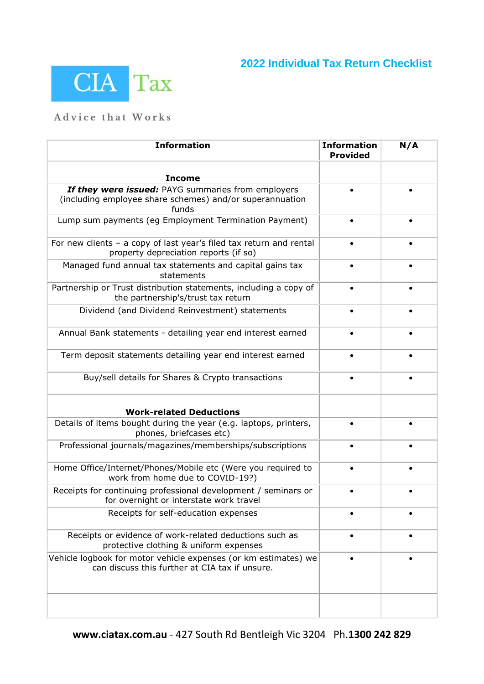## **2022 Individual Tax Return Checklist**



## Advice that Works

| <b>Information</b>                                                                                                      | <b>Information</b><br><b>Provided</b> | N/A |
|-------------------------------------------------------------------------------------------------------------------------|---------------------------------------|-----|
| <b>Income</b>                                                                                                           |                                       |     |
| If they were issued: PAYG summaries from employers<br>(including employee share schemes) and/or superannuation<br>funds |                                       |     |
| Lump sum payments (eg Employment Termination Payment)                                                                   |                                       |     |
| For new clients $-$ a copy of last year's filed tax return and rental<br>property depreciation reports (if so)          |                                       |     |
| Managed fund annual tax statements and capital gains tax<br>statements                                                  |                                       |     |
| Partnership or Trust distribution statements, including a copy of<br>the partnership's/trust tax return                 |                                       |     |
| Dividend (and Dividend Reinvestment) statements                                                                         |                                       |     |
| Annual Bank statements - detailing year end interest earned                                                             |                                       |     |
| Term deposit statements detailing year end interest earned                                                              |                                       |     |
| Buy/sell details for Shares & Crypto transactions                                                                       |                                       |     |
| <b>Work-related Deductions</b>                                                                                          |                                       |     |
| Details of items bought during the year (e.g. laptops, printers,<br>phones, briefcases etc)                             |                                       |     |
| Professional journals/magazines/memberships/subscriptions                                                               |                                       |     |
| Home Office/Internet/Phones/Mobile etc (Were you required to<br>work from home due to COVID-19?)                        |                                       |     |
| Receipts for continuing professional development / seminars or<br>for overnight or interstate work travel               |                                       |     |
| Receipts for self-education expenses                                                                                    |                                       |     |
| Receipts or evidence of work-related deductions such as<br>protective clothing & uniform expenses                       |                                       |     |
| Vehicle logbook for motor vehicle expenses (or km estimates) we<br>can discuss this further at CIA tax if unsure.       |                                       |     |
|                                                                                                                         |                                       |     |